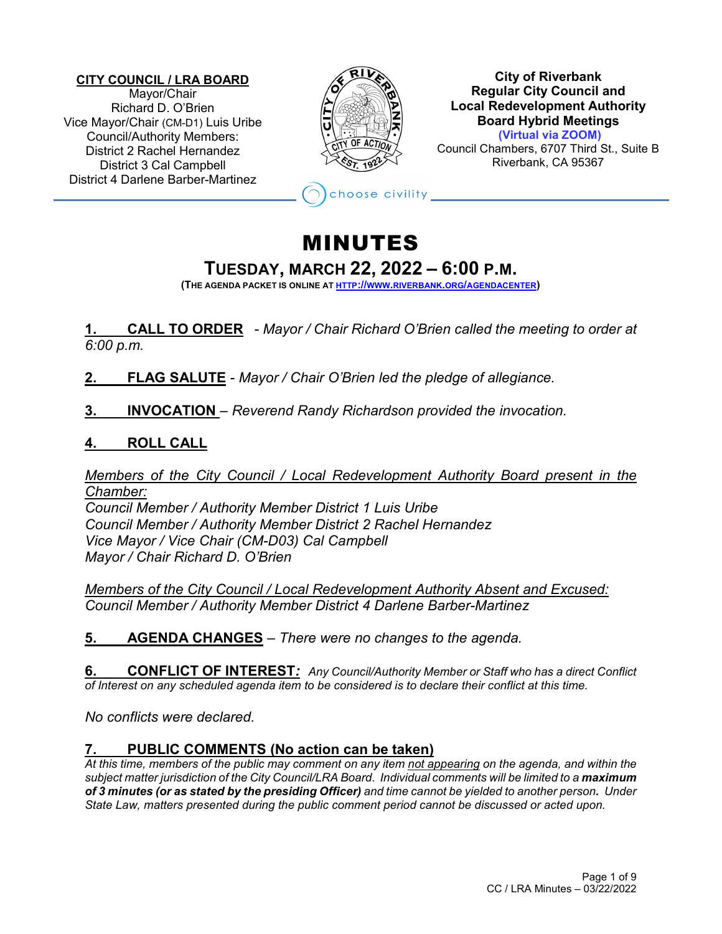#### **CITY COUNCIL / LRA BOARD** Mayor/Chair Richard D. O'Brien Vice Mayor/Chair (CM-D1) Luis Uribe Council/Authority Members: District 2 Rachel Hernandez District 3 Cal Campbell District 4 Darlene Barber-Martinez



## **City of Riverbank Regular City Council and Local Redevelopment Authority Board Hybrid Meetings (Virtual via ZOOM)**

Council Chambers, 6707 Third St., Suite B Riverbank, CA 95367

hoose civility

## MINUTES

# **TUESDAY, MARCH 22, <sup>2022</sup> – 6:00 P.M. (THE AGENDA PACKET IS ONLINE AT HTTP://WWW.RIVERBANK.ORG/AGENDACENTER)**

**1. CALL TO ORDER** - *Mayor / Chair Richard O'Brien called the meeting to order at 6:00 p.m.*

**2. FLAG SALUTE** - *Mayor / Chair O'Brien led the pledge of allegiance.*

**3. INVOCATION** – *Reverend Randy Richardson provided the invocation.*

## **4. ROLL CALL**

*Members of the City Council / Local Redevelopment Authority Board present in the Chamber:*

*Council Member / Authority Member District 1 Luis Uribe Council Member / Authority Member District 2 Rachel Hernandez Vice Mayor / Vice Chair (CM-D03) Cal Campbell Mayor / Chair Richard D. O'Brien*

*Members of the City Council / Local Redevelopment Authority Absent and Excused: Council Member / Authority Member District 4 Darlene Barber-Martinez*

**5. AGENDA CHANGES** *– There were no changes to the agenda.* 

**6. CONFLICT OF INTEREST***: Any Council/Authority Member or Staff who has a direct Conflict of Interest on any scheduled agenda item to be considered is to declare their conflict at this time.*

*No conflicts were declared.*

## **7. PUBLIC COMMENTS (No action can be taken)**

*At this time, members of the public may comment on any item not appearing on the agenda, and within the subject matter jurisdiction of the City Council/LRA Board. Individual comments will be limited to a maximum of 3 minutes (or as stated by the presiding Officer) and time cannot be yielded to another person. Under State Law, matters presented during the public comment period cannot be discussed or acted upon.*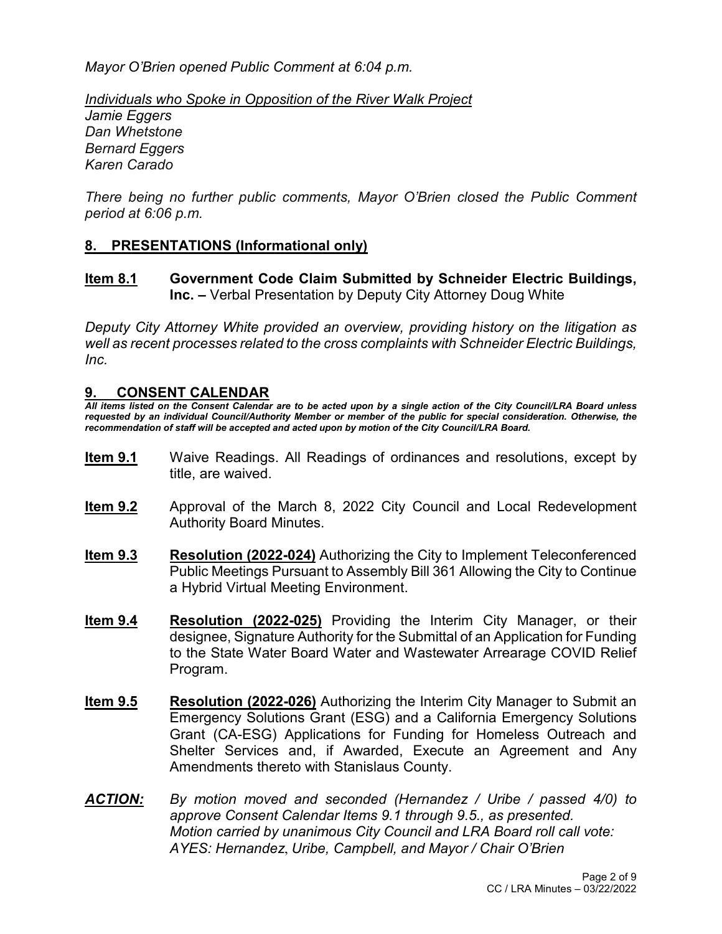*Mayor O'Brien opened Public Comment at 6:04 p.m.*

*Individuals who Spoke in Opposition of the River Walk Project*

*Jamie Eggers Dan Whetstone Bernard Eggers Karen Carado*

*There being no further public comments, Mayor O'Brien closed the Public Comment period at 6:06 p.m.*

#### **8. PRESENTATIONS (Informational only)**

**Item 8.1 Government Code Claim Submitted by Schneider Electric Buildings, Inc. –** Verbal Presentation by Deputy City Attorney Doug White

*Deputy City Attorney White provided an overview, providing history on the litigation as well as recent processes related to the cross complaints with Schneider Electric Buildings, Inc.* 

#### **9. CONSENT CALENDAR**

*All items listed on the Consent Calendar are to be acted upon by a single action of the City Council/LRA Board unless requested by an individual Council/Authority Member or member of the public for special consideration. Otherwise, the recommendation of staff will be accepted and acted upon by motion of the City Council/LRA Board.*

- **Item 9.1** Waive Readings. All Readings of ordinances and resolutions, except by title, are waived.
- **Item 9.2** Approval of the March 8, 2022 City Council and Local Redevelopment Authority Board Minutes.
- **Item 9.3 Resolution (2022-024)** Authorizing the City to Implement Teleconferenced Public Meetings Pursuant to Assembly Bill 361 Allowing the City to Continue a Hybrid Virtual Meeting Environment.
- **Item 9.4 Resolution (2022-025)** Providing the Interim City Manager, or their designee, Signature Authority for the Submittal of an Application for Funding to the State Water Board Water and Wastewater Arrearage COVID Relief Program.
- **Item 9.5 Resolution (2022-026)** Authorizing the Interim City Manager to Submit an Emergency Solutions Grant (ESG) and a California Emergency Solutions Grant (CA-ESG) Applications for Funding for Homeless Outreach and Shelter Services and, if Awarded, Execute an Agreement and Any Amendments thereto with Stanislaus County.
- *ACTION: By motion moved and seconded (Hernandez / Uribe / passed 4/0) to approve Consent Calendar Items 9.1 through 9.5., as presented. Motion carried by unanimous City Council and LRA Board roll call vote: AYES: Hernandez*, *Uribe, Campbell, and Mayor / Chair O'Brien*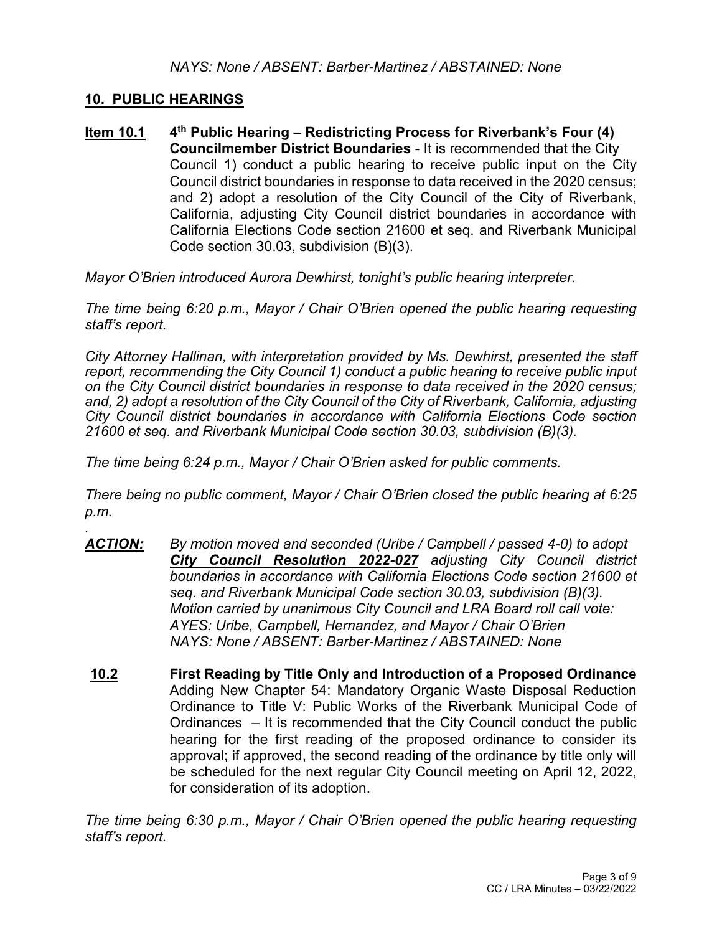#### **10. PUBLIC HEARINGS**

**Item 10.1 4th Public Hearing – Redistricting Process for Riverbank's Four (4) Councilmember District Boundaries** - It is recommended that the City Council 1) conduct a public hearing to receive public input on the City Council district boundaries in response to data received in the 2020 census; and 2) adopt a resolution of the City Council of the City of Riverbank, California, adjusting City Council district boundaries in accordance with California Elections Code section 21600 et seq. and Riverbank Municipal Code section 30.03, subdivision (B)(3).

*Mayor O'Brien introduced Aurora Dewhirst, tonight's public hearing interpreter.*

*The time being 6:20 p.m., Mayor / Chair O'Brien opened the public hearing requesting staff's report.*

*City Attorney Hallinan, with interpretation provided by Ms. Dewhirst, presented the staff report, recommending the City Council 1) conduct a public hearing to receive public input on the City Council district boundaries in response to data received in the 2020 census; and, 2) adopt a resolution of the City Council of the City of Riverbank, California, adjusting City Council district boundaries in accordance with California Elections Code section 21600 et seq. and Riverbank Municipal Code section 30.03, subdivision (B)(3).*

*The time being 6:24 p.m., Mayor / Chair O'Brien asked for public comments.* 

*There being no public comment, Mayor / Chair O'Brien closed the public hearing at 6:25 p.m.*

- *. ACTION: By motion moved and seconded (Uribe / Campbell / passed 4-0) to adopt City Council Resolution 2022-027 adjusting City Council district boundaries in accordance with California Elections Code section 21600 et seq. and Riverbank Municipal Code section 30.03, subdivision (B)(3). Motion carried by unanimous City Council and LRA Board roll call vote: AYES: Uribe, Campbell, Hernandez, and Mayor / Chair O'Brien NAYS: None / ABSENT: Barber-Martinez / ABSTAINED: None*
- **10.2 First Reading by Title Only and Introduction of a Proposed Ordinance**  Adding New Chapter 54: Mandatory Organic Waste Disposal Reduction Ordinance to Title V: Public Works of the Riverbank Municipal Code of Ordinances – It is recommended that the City Council conduct the public hearing for the first reading of the proposed ordinance to consider its approval; if approved, the second reading of the ordinance by title only will be scheduled for the next regular City Council meeting on April 12, 2022, for consideration of its adoption.

*The time being 6:30 p.m., Mayor / Chair O'Brien opened the public hearing requesting staff's report.*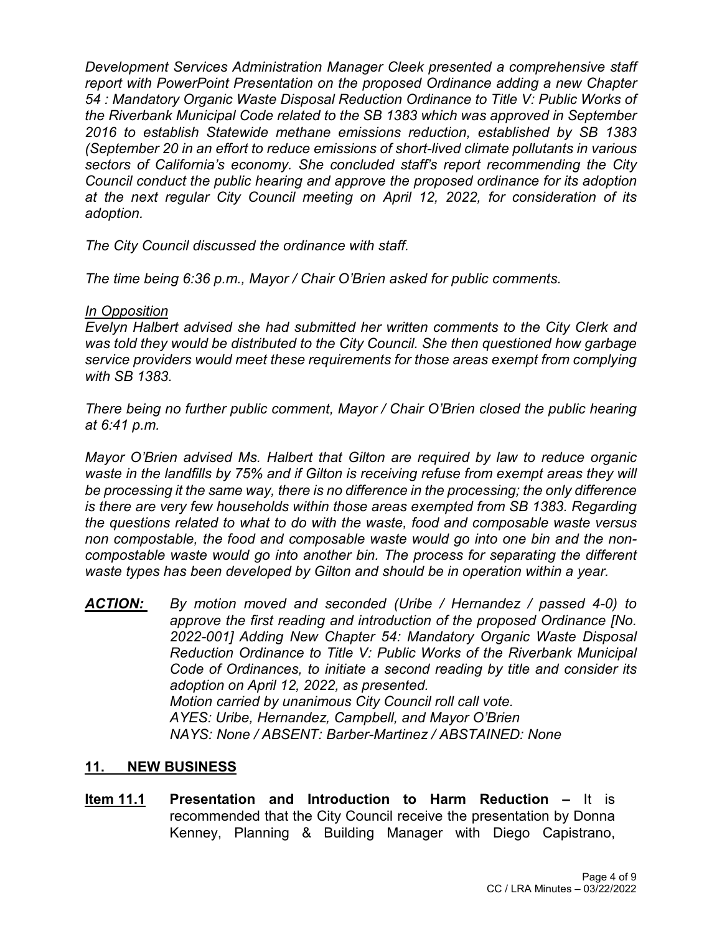*Development Services Administration Manager Cleek presented a comprehensive staff report with PowerPoint Presentation on the proposed Ordinance adding a new Chapter 54 : Mandatory Organic Waste Disposal Reduction Ordinance to Title V: Public Works of the Riverbank Municipal Code related to the SB 1383 which was approved in September 2016 to establish Statewide methane emissions reduction, established by SB 1383 (September 20 in an effort to reduce emissions of short-lived climate pollutants in various sectors of California's economy. She concluded staff's report recommending the City Council conduct the public hearing and approve the proposed ordinance for its adoption at the next regular City Council meeting on April 12, 2022, for consideration of its adoption.* 

*The City Council discussed the ordinance with staff.*

*The time being 6:36 p.m., Mayor / Chair O'Brien asked for public comments.* 

#### *In Opposition*

*Evelyn Halbert advised she had submitted her written comments to the City Clerk and was told they would be distributed to the City Council. She then questioned how garbage service providers would meet these requirements for those areas exempt from complying with SB 1383.*

*There being no further public comment, Mayor / Chair O'Brien closed the public hearing at 6:41 p.m.*

*Mayor O'Brien advised Ms. Halbert that Gilton are required by law to reduce organic waste in the landfills by 75% and if Gilton is receiving refuse from exempt areas they will be processing it the same way, there is no difference in the processing; the only difference is there are very few households within those areas exempted from SB 1383. Regarding the questions related to what to do with the waste, food and composable waste versus non compostable, the food and composable waste would go into one bin and the noncompostable waste would go into another bin. The process for separating the different waste types has been developed by Gilton and should be in operation within a year.*

*ACTION: By motion moved and seconded (Uribe / Hernandez / passed 4-0) to approve the first reading and introduction of the proposed Ordinance [No. 2022-001] Adding New Chapter 54: Mandatory Organic Waste Disposal Reduction Ordinance to Title V: Public Works of the Riverbank Municipal Code of Ordinances, to initiate a second reading by title and consider its adoption on April 12, 2022, as presented. Motion carried by unanimous City Council roll call vote. AYES: Uribe, Hernandez, Campbell, and Mayor O'Brien NAYS: None / ABSENT: Barber-Martinez / ABSTAINED: None*

#### **11. NEW BUSINESS**

**Item 11.1 Presentation and Introduction to Harm Reduction –** It is recommended that the City Council receive the presentation by Donna Kenney, Planning & Building Manager with Diego Capistrano,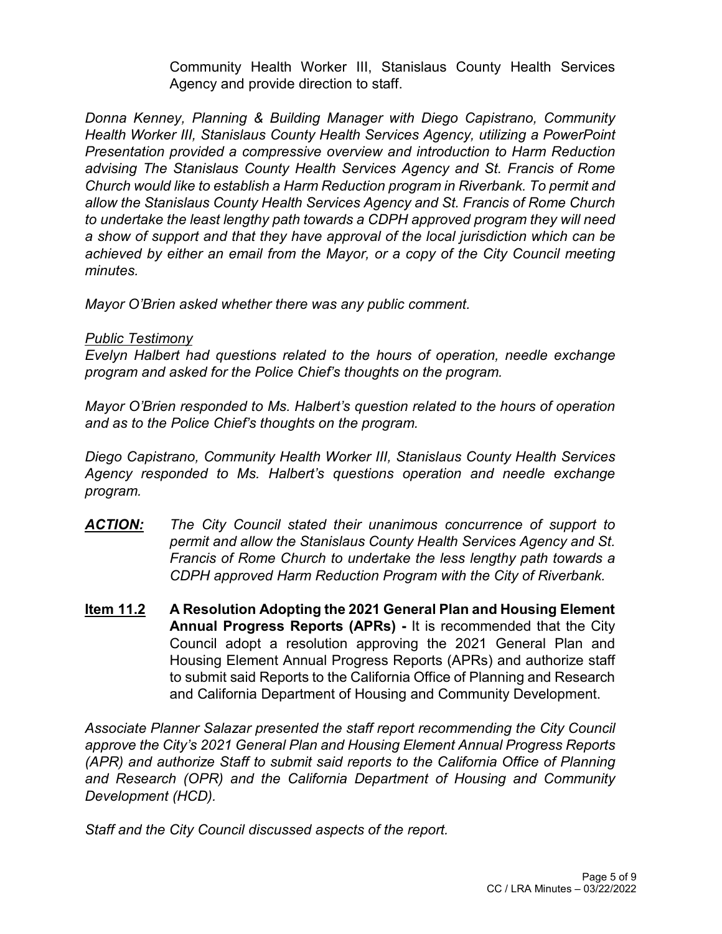Community Health Worker III, Stanislaus County Health Services Agency and provide direction to staff.

*Donna Kenney, Planning & Building Manager with Diego Capistrano, Community Health Worker III, Stanislaus County Health Services Agency, utilizing a PowerPoint Presentation provided a compressive overview and introduction to Harm Reduction advising The Stanislaus County Health Services Agency and St. Francis of Rome Church would like to establish a Harm Reduction program in Riverbank. To permit and allow the Stanislaus County Health Services Agency and St. Francis of Rome Church to undertake the least lengthy path towards a CDPH approved program they will need a show of support and that they have approval of the local jurisdiction which can be achieved by either an email from the Mayor, or a copy of the City Council meeting minutes.*

*Mayor O'Brien asked whether there was any public comment.*

#### *Public Testimony*

*Evelyn Halbert had questions related to the hours of operation, needle exchange program and asked for the Police Chief's thoughts on the program.*

*Mayor O'Brien responded to Ms. Halbert's question related to the hours of operation and as to the Police Chief's thoughts on the program.*

*Diego Capistrano, Community Health Worker III, Stanislaus County Health Services Agency responded to Ms. Halbert's questions operation and needle exchange program.*

- *ACTION: The City Council stated their unanimous concurrence of support to permit and allow the Stanislaus County Health Services Agency and St. Francis of Rome Church to undertake the less lengthy path towards a CDPH approved Harm Reduction Program with the City of Riverbank.*
- **Item 11.2 A Resolution Adopting the 2021 General Plan and Housing Element Annual Progress Reports (APRs) -** It is recommended that the City Council adopt a resolution approving the 2021 General Plan and Housing Element Annual Progress Reports (APRs) and authorize staff to submit said Reports to the California Office of Planning and Research and California Department of Housing and Community Development.

*Associate Planner Salazar presented the staff report recommending the City Council approve the City's 2021 General Plan and Housing Element Annual Progress Reports (APR) and authorize Staff to submit said reports to the California Office of Planning and Research (OPR) and the California Department of Housing and Community Development (HCD).*

*Staff and the City Council discussed aspects of the report.*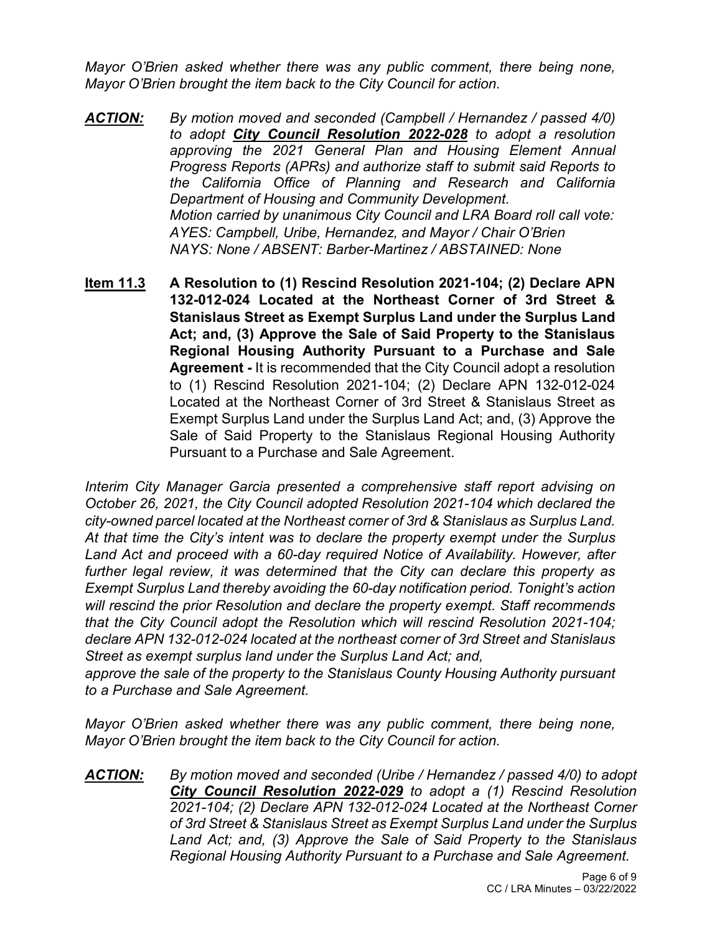*Mayor O'Brien asked whether there was any public comment, there being none, Mayor O'Brien brought the item back to the City Council for action.*

- *ACTION: By motion moved and seconded (Campbell / Hernandez / passed 4/0) to adopt City Council Resolution 2022-028 to adopt a resolution approving the 2021 General Plan and Housing Element Annual Progress Reports (APRs) and authorize staff to submit said Reports to the California Office of Planning and Research and California Department of Housing and Community Development. Motion carried by unanimous City Council and LRA Board roll call vote: AYES: Campbell, Uribe, Hernandez, and Mayor / Chair O'Brien NAYS: None / ABSENT: Barber-Martinez / ABSTAINED: None*
- **Item 11.3 A Resolution to (1) Rescind Resolution 2021-104; (2) Declare APN 132-012-024 Located at the Northeast Corner of 3rd Street & Stanislaus Street as Exempt Surplus Land under the Surplus Land Act; and, (3) Approve the Sale of Said Property to the Stanislaus Regional Housing Authority Pursuant to a Purchase and Sale Agreement -** It is recommended that the City Council adopt a resolution to (1) Rescind Resolution 2021-104; (2) Declare APN 132-012-024 Located at the Northeast Corner of 3rd Street & Stanislaus Street as Exempt Surplus Land under the Surplus Land Act; and, (3) Approve the Sale of Said Property to the Stanislaus Regional Housing Authority Pursuant to a Purchase and Sale Agreement.

*Interim City Manager Garcia presented a comprehensive staff report advising on October 26, 2021, the City Council adopted Resolution 2021-104 which declared the city-owned parcel located at the Northeast corner of 3rd & Stanislaus as Surplus Land. At that time the City's intent was to declare the property exempt under the Surplus Land Act and proceed with a 60-day required Notice of Availability. However, after further legal review, it was determined that the City can declare this property as Exempt Surplus Land thereby avoiding the 60-day notification period. Tonight's action will rescind the prior Resolution and declare the property exempt. Staff recommends that the City Council adopt the Resolution which will rescind Resolution 2021-104; declare APN 132-012-024 located at the northeast corner of 3rd Street and Stanislaus Street as exempt surplus land under the Surplus Land Act; and,*

*approve the sale of the property to the Stanislaus County Housing Authority pursuant to a Purchase and Sale Agreement.*

*Mayor O'Brien asked whether there was any public comment, there being none, Mayor O'Brien brought the item back to the City Council for action.*

*ACTION: By motion moved and seconded (Uribe / Hernandez / passed 4/0) to adopt City Council Resolution 2022-029 to adopt a (1) Rescind Resolution 2021-104; (2) Declare APN 132-012-024 Located at the Northeast Corner of 3rd Street & Stanislaus Street as Exempt Surplus Land under the Surplus Land Act; and, (3) Approve the Sale of Said Property to the Stanislaus Regional Housing Authority Pursuant to a Purchase and Sale Agreement.*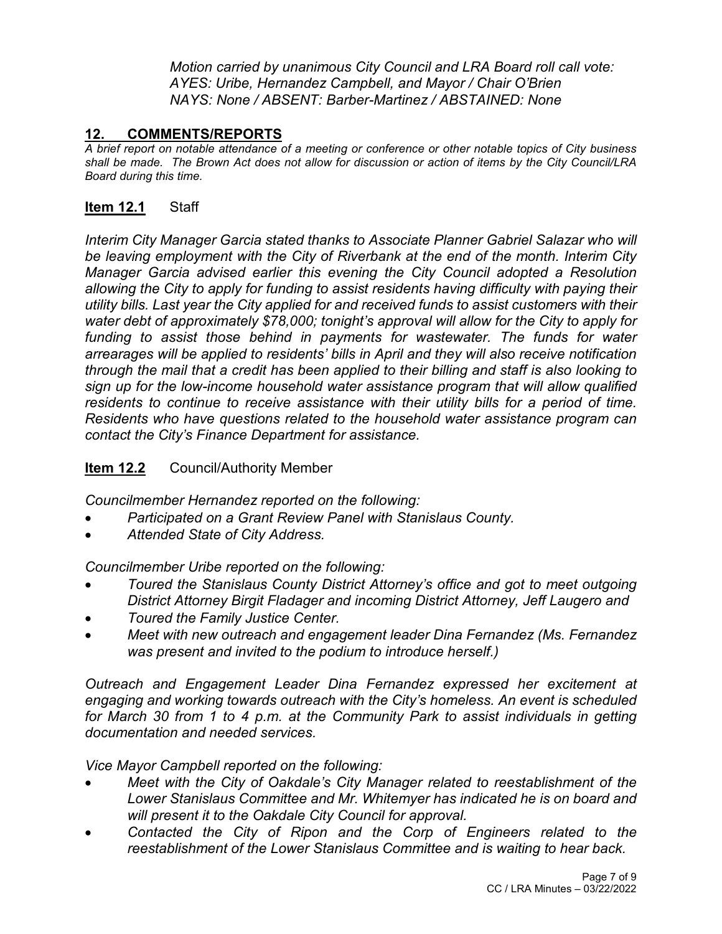*Motion carried by unanimous City Council and LRA Board roll call vote: AYES: Uribe, Hernandez Campbell, and Mayor / Chair O'Brien NAYS: None / ABSENT: Barber-Martinez / ABSTAINED: None*

## **12. COMMENTS/REPORTS**

*A brief report on notable attendance of a meeting or conference or other notable topics of City business shall be made. The Brown Act does not allow for discussion or action of items by the City Council/LRA Board during this time.* 

## **Item 12.1** Staff

*Interim City Manager Garcia stated thanks to Associate Planner Gabriel Salazar who will be leaving employment with the City of Riverbank at the end of the month. Interim City Manager Garcia advised earlier this evening the City Council adopted a Resolution allowing the City to apply for funding to assist residents having difficulty with paying their utility bills. Last year the City applied for and received funds to assist customers with their water debt of approximately \$78,000; tonight's approval will allow for the City to apply for*  funding to assist those behind in payments for wastewater. The funds for water *arrearages will be applied to residents' bills in April and they will also receive notification through the mail that a credit has been applied to their billing and staff is also looking to sign up for the low-income household water assistance program that will allow qualified residents to continue to receive assistance with their utility bills for a period of time. Residents who have questions related to the household water assistance program can contact the City's Finance Department for assistance.*

## **Item 12.2** Council/Authority Member

*Councilmember Hernandez reported on the following:*

- *Participated on a Grant Review Panel with Stanislaus County.*
- *Attended State of City Address.*

*Councilmember Uribe reported on the following:*

- *Toured the Stanislaus County District Attorney's office and got to meet outgoing District Attorney Birgit Fladager and incoming District Attorney, Jeff Laugero and*
- *Toured the Family Justice Center.*
- *Meet with new outreach and engagement leader Dina Fernandez (Ms. Fernandez was present and invited to the podium to introduce herself.)*

*Outreach and Engagement Leader Dina Fernandez expressed her excitement at engaging and working towards outreach with the City's homeless. An event is scheduled for March 30 from 1 to 4 p.m. at the Community Park to assist individuals in getting documentation and needed services.*

*Vice Mayor Campbell reported on the following:*

- *Meet with the City of Oakdale's City Manager related to reestablishment of the Lower Stanislaus Committee and Mr. Whitemyer has indicated he is on board and will present it to the Oakdale City Council for approval.*
- *Contacted the City of Ripon and the Corp of Engineers related to the reestablishment of the Lower Stanislaus Committee and is waiting to hear back.*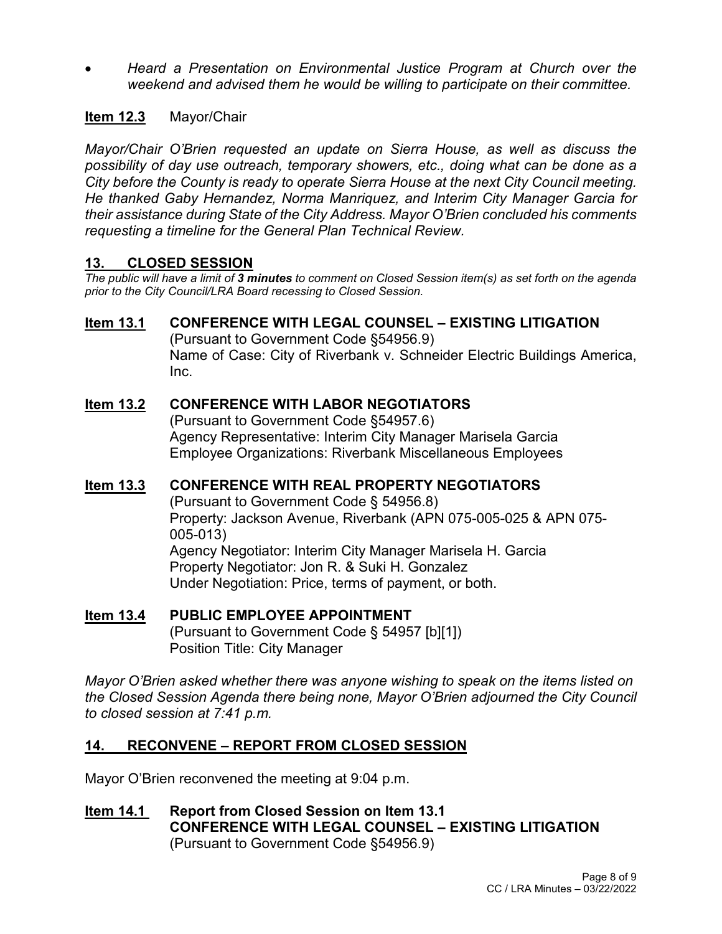• *Heard a Presentation on Environmental Justice Program at Church over the weekend and advised them he would be willing to participate on their committee.*

## **Item 12.3** Mayor/Chair

*Mayor/Chair O'Brien requested an update on Sierra House, as well as discuss the possibility of day use outreach, temporary showers, etc., doing what can be done as a City before the County is ready to operate Sierra House at the next City Council meeting. He thanked Gaby Hernandez, Norma Manriquez, and Interim City Manager Garcia for their assistance during State of the City Address. Mayor O'Brien concluded his comments requesting a timeline for the General Plan Technical Review.*

## **13. CLOSED SESSION**

*The public will have a limit of 3 minutes to comment on Closed Session item(s) as set forth on the agenda prior to the City Council/LRA Board recessing to Closed Session.* 

#### **Item 13.1 CONFERENCE WITH LEGAL COUNSEL – EXISTING LITIGATION**

(Pursuant to Government Code §54956.9) Name of Case: City of Riverbank v. Schneider Electric Buildings America, Inc.

## **Item 13.2 CONFERENCE WITH LABOR NEGOTIATORS**

(Pursuant to Government Code §54957.6) Agency Representative: Interim City Manager Marisela Garcia Employee Organizations: Riverbank Miscellaneous Employees

#### **Item 13.3 CONFERENCE WITH REAL PROPERTY NEGOTIATORS** (Pursuant to Government Code § 54956.8) Property: Jackson Avenue, Riverbank (APN 075-005-025 & APN 075- 005-013) Agency Negotiator: Interim City Manager Marisela H. Garcia Property Negotiator: Jon R. & Suki H. Gonzalez Under Negotiation: Price, terms of payment, or both.

## **Item 13.4 PUBLIC EMPLOYEE APPOINTMENT**  (Pursuant to Government Code § 54957 [b][1]) Position Title: City Manager

*Mayor O'Brien asked whether there was anyone wishing to speak on the items listed on the Closed Session Agenda there being none, Mayor O'Brien adjourned the City Council to closed session at 7:41 p.m.*

#### **14. RECONVENE – REPORT FROM CLOSED SESSION**

Mayor O'Brien reconvened the meeting at 9:04 p.m.

**Item 14.1 Report from Closed Session on Item 13.1 CONFERENCE WITH LEGAL COUNSEL – EXISTING LITIGATION** (Pursuant to Government Code §54956.9)